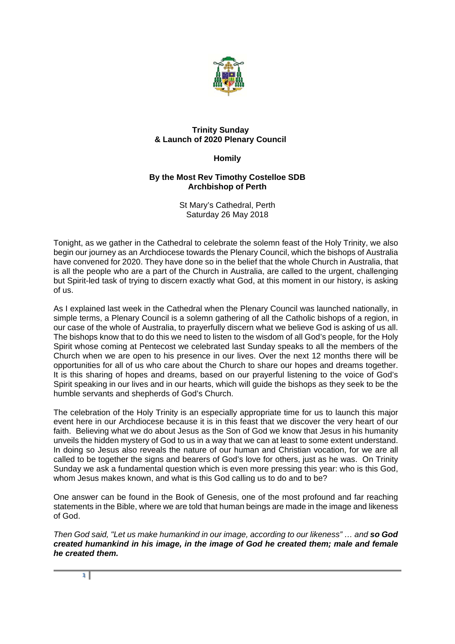

## **Trinity Sunday & Launch of 2020 Plenary Council**

## **Homily**

## **By the Most Rev Timothy Costelloe SDB Archbishop of Perth**

St Mary's Cathedral, Perth Saturday 26 May 2018

Tonight, as we gather in the Cathedral to celebrate the solemn feast of the Holy Trinity, we also begin our journey as an Archdiocese towards the Plenary Council, which the bishops of Australia have convened for 2020. They have done so in the belief that the whole Church in Australia, that is all the people who are a part of the Church in Australia, are called to the urgent, challenging but Spirit-led task of trying to discern exactly what God, at this moment in our history, is asking of us.

As I explained last week in the Cathedral when the Plenary Council was launched nationally, in simple terms, a Plenary Council is a solemn gathering of all the Catholic bishops of a region, in our case of the whole of Australia, to prayerfully discern what we believe God is asking of us all. The bishops know that to do this we need to listen to the wisdom of all God's people, for the Holy Spirit whose coming at Pentecost we celebrated last Sunday speaks to all the members of the Church when we are open to his presence in our lives. Over the next 12 months there will be opportunities for all of us who care about the Church to share our hopes and dreams together. It is this sharing of hopes and dreams, based on our prayerful listening to the voice of God's Spirit speaking in our lives and in our hearts, which will guide the bishops as they seek to be the humble servants and shepherds of God's Church.

The celebration of the Holy Trinity is an especially appropriate time for us to launch this major event here in our Archdiocese because it is in this feast that we discover the very heart of our faith. Believing what we do about Jesus as the Son of God we know that Jesus in his humanity unveils the hidden mystery of God to us in a way that we can at least to some extent understand. In doing so Jesus also reveals the nature of our human and Christian vocation, for we are all called to be together the signs and bearers of God's love for others, just as he was. On Trinity Sunday we ask a fundamental question which is even more pressing this year: who is this God, whom Jesus makes known, and what is this God calling us to do and to be?

One answer can be found in the Book of Genesis, one of the most profound and far reaching statements in the Bible, where we are told that human beings are made in the image and likeness of God.

*Then God said, "Let us make humankind in our image, according to our likeness" ... and so God created humankind in his image, in the image of God he created them; male and female he created them.*